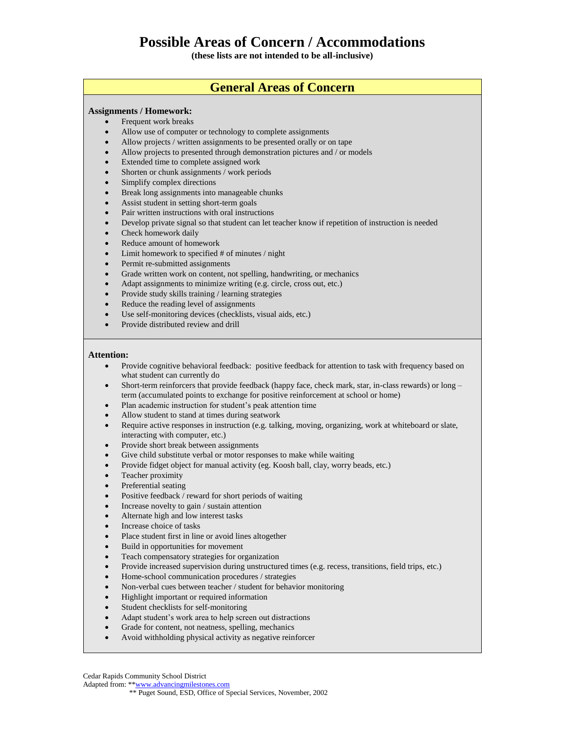**(these lists are not intended to be all-inclusive)**

## **General Areas of Concern**

## **Assignments / Homework:**

- Frequent work breaks
- Allow use of computer or technology to complete assignments
- Allow projects / written assignments to be presented orally or on tape
- Allow projects to presented through demonstration pictures and / or models
- Extended time to complete assigned work
- Shorten or chunk assignments / work periods
- Simplify complex directions
- Break long assignments into manageable chunks
- Assist student in setting short-term goals
- Pair written instructions with oral instructions
- Develop private signal so that student can let teacher know if repetition of instruction is needed
- Check homework daily
- Reduce amount of homework
- Limit homework to specified # of minutes / night
- Permit re-submitted assignments
- Grade written work on content, not spelling, handwriting, or mechanics
- Adapt assignments to minimize writing (e.g. circle, cross out, etc.)
- Provide study skills training / learning strategies
- Reduce the reading level of assignments
- Use self-monitoring devices (checklists, visual aids, etc.)
- Provide distributed review and drill

#### **Attention:**

- Provide cognitive behavioral feedback: positive feedback for attention to task with frequency based on what student can currently do
- Short-term reinforcers that provide feedback (happy face, check mark, star, in-class rewards) or long term (accumulated points to exchange for positive reinforcement at school or home)
- Plan academic instruction for student's peak attention time
- Allow student to stand at times during seatwork
- Require active responses in instruction (e.g. talking, moving, organizing, work at whiteboard or slate, interacting with computer, etc.)
- Provide short break between assignments
- Give child substitute verbal or motor responses to make while waiting
- Provide fidget object for manual activity (eg. Koosh ball, clay, worry beads, etc.)
- Teacher proximity
- Preferential seating
- Positive feedback / reward for short periods of waiting
- Increase novelty to gain / sustain attention
- Alternate high and low interest tasks
- Increase choice of tasks
- Place student first in line or avoid lines altogether
- Build in opportunities for movement
- Teach compensatory strategies for organization
- Provide increased supervision during unstructured times (e.g. recess, transitions, field trips, etc.)
- Home-school communication procedures / strategies
- Non-verbal cues between teacher / student for behavior monitoring
- Highlight important or required information
- Student checklists for self-monitoring
- Adapt student's work area to help screen out distractions
- Grade for content, not neatness, spelling, mechanics
- Avoid withholding physical activity as negative reinforcer

Cedar Rapids Community School District

Adapted from: \*[\\*www.advancingmilestones.com](http://www.advancingmilestones.com/)

\*\* Puget Sound, ESD, Office of Special Services, November, 2002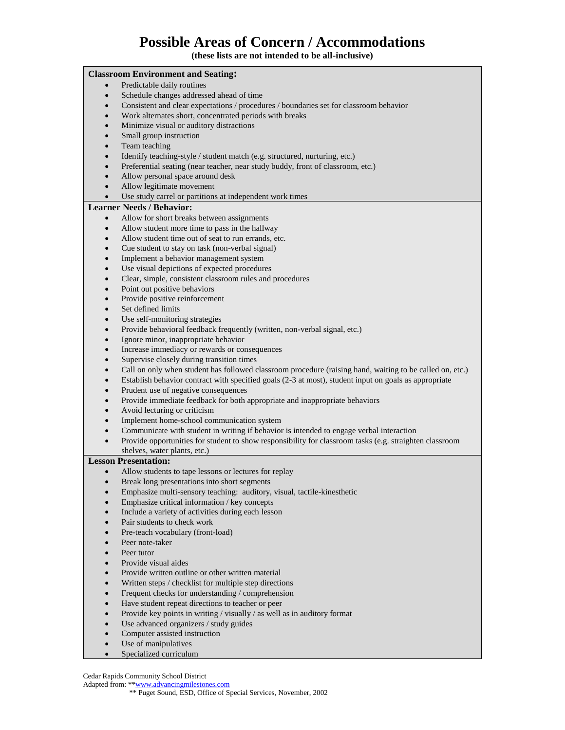**(these lists are not intended to be all-inclusive)**

| <b>Classroom Environment and Seating:</b> |                        |                                                                                                                         |
|-------------------------------------------|------------------------|-------------------------------------------------------------------------------------------------------------------------|
|                                           | $\bullet$              | Predictable daily routines                                                                                              |
|                                           | $\bullet$              | Schedule changes addressed ahead of time                                                                                |
|                                           | $\bullet$              | Consistent and clear expectations / procedures / boundaries set for classroom behavior                                  |
|                                           | $\bullet$              | Work alternates short, concentrated periods with breaks                                                                 |
|                                           | $\bullet$              | Minimize visual or auditory distractions                                                                                |
|                                           | $\bullet$              | Small group instruction                                                                                                 |
|                                           | $\bullet$              | Team teaching                                                                                                           |
|                                           | $\bullet$              | Identify teaching-style / student match (e.g. structured, nurturing, etc.)                                              |
|                                           | $\bullet$              | Preferential seating (near teacher, near study buddy, front of classroom, etc.)                                         |
|                                           | $\bullet$              | Allow personal space around desk                                                                                        |
|                                           | $\bullet$              | Allow legitimate movement                                                                                               |
|                                           | $\bullet$              | Use study carrel or partitions at independent work times                                                                |
| <b>Learner Needs / Behavior:</b>          |                        |                                                                                                                         |
|                                           | $\bullet$              | Allow for short breaks between assignments                                                                              |
|                                           | $\bullet$              | Allow student more time to pass in the hallway                                                                          |
|                                           | $\bullet$              | Allow student time out of seat to run errands, etc.                                                                     |
|                                           | $\bullet$              | Cue student to stay on task (non-verbal signal)                                                                         |
|                                           | $\bullet$              | Implement a behavior management system                                                                                  |
|                                           | $\bullet$              | Use visual depictions of expected procedures                                                                            |
|                                           | $\bullet$              | Clear, simple, consistent classroom rules and procedures                                                                |
|                                           | $\bullet$              | Point out positive behaviors                                                                                            |
|                                           | $\bullet$              | Provide positive reinforcement                                                                                          |
|                                           | $\bullet$              | Set defined limits                                                                                                      |
|                                           | $\bullet$              | Use self-monitoring strategies                                                                                          |
|                                           | $\bullet$              | Provide behavioral feedback frequently (written, non-verbal signal, etc.)                                               |
|                                           | $\bullet$              | Ignore minor, inappropriate behavior                                                                                    |
|                                           | $\bullet$              | Increase immediacy or rewards or consequences                                                                           |
|                                           | $\bullet$              | Supervise closely during transition times                                                                               |
|                                           | $\bullet$              | Call on only when student has followed classroom procedure (raising hand, waiting to be called on, etc.)                |
|                                           | $\bullet$              | Establish behavior contract with specified goals (2-3 at most), student input on goals as appropriate                   |
|                                           | $\bullet$              | Prudent use of negative consequences                                                                                    |
|                                           | $\bullet$              | Provide immediate feedback for both appropriate and inappropriate behaviors                                             |
|                                           | $\bullet$              | Avoid lecturing or criticism                                                                                            |
|                                           | $\bullet$              | Implement home-school communication system                                                                              |
|                                           | $\bullet$              | Communicate with student in writing if behavior is intended to engage verbal interaction                                |
|                                           | $\bullet$              | Provide opportunities for student to show responsibility for classroom tasks (e.g. straighten classroom                 |
|                                           |                        | shelves, water plants, etc.)                                                                                            |
|                                           |                        | <b>Lesson Presentation:</b>                                                                                             |
|                                           | $\bullet$              | Allow students to tape lessons or lectures for replay                                                                   |
|                                           | $\bullet$<br>$\bullet$ | Break long presentations into short segments<br>Emphasize multi-sensory teaching: auditory, visual, tactile-kinesthetic |
|                                           | $\bullet$              | Emphasize critical information / key concepts                                                                           |
|                                           | $\bullet$              | Include a variety of activities during each lesson                                                                      |
|                                           | $\bullet$              | Pair students to check work                                                                                             |
|                                           | $\bullet$              | Pre-teach vocabulary (front-load)                                                                                       |
|                                           | $\bullet$              | Peer note-taker                                                                                                         |
|                                           | $\bullet$              | Peer tutor                                                                                                              |
|                                           | $\bullet$              | Provide visual aides                                                                                                    |
|                                           | $\bullet$              | Provide written outline or other written material                                                                       |
|                                           | $\bullet$              | Written steps / checklist for multiple step directions                                                                  |
|                                           | $\bullet$              | Frequent checks for understanding / comprehension                                                                       |
|                                           | $\bullet$              | Have student repeat directions to teacher or peer                                                                       |
|                                           | $\bullet$              | Provide key points in writing / visually / as well as in auditory format                                                |
|                                           | $\bullet$              | Use advanced organizers / study guides                                                                                  |
|                                           | $\bullet$              | Computer assisted instruction                                                                                           |
|                                           | $\bullet$              | Use of manipulatives                                                                                                    |
|                                           |                        |                                                                                                                         |

• Specialized curriculum

Cedar Rapids Community School District

Adapted from: \*\***www.advancingmilestones.com** 

\*\* Puget Sound, ESD, Office of Special Services, November, 2002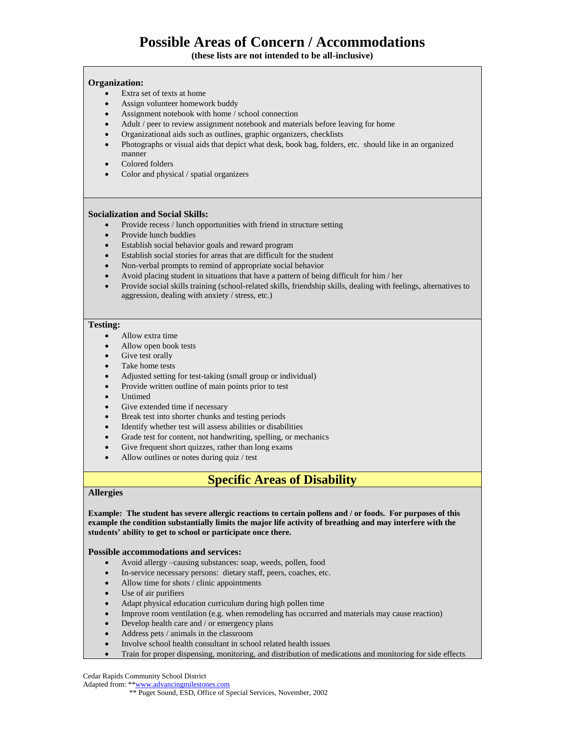**(these lists are not intended to be all-inclusive)**

#### **Organization:**

- Extra set of texts at home
- Assign volunteer homework buddy
- Assignment notebook with home / school connection
- Adult / peer to review assignment notebook and materials before leaving for home
- Organizational aids such as outlines, graphic organizers, checklists
- Photographs or visual aids that depict what desk, book bag, folders, etc. should like in an organized manner
- Colored folders
- Color and physical / spatial organizers

#### **Socialization and Social Skills:**

- Provide recess / lunch opportunities with friend in structure setting
- Provide lunch buddies
- Establish social behavior goals and reward program
- Establish social stories for areas that are difficult for the student
- Non-verbal prompts to remind of appropriate social behavior
- Avoid placing student in situations that have a pattern of being difficult for him / her
- Provide social skills training (school-related skills, friendship skills, dealing with feelings, alternatives to aggression, dealing with anxiety / stress, etc.)

### **Testing:**

- Allow extra time
- Allow open book tests
- Give test orally
- Take home tests
- Adjusted setting for test-taking (small group or individual)
- Provide written outline of main points prior to test
- Untimed
- Give extended time if necessary
- Break test into shorter chunks and testing periods
- Identify whether test will assess abilities or disabilities
- Grade test for content, not handwriting, spelling, or mechanics
- Give frequent short quizzes, rather than long exams
- Allow outlines or notes during quiz / test

## **Specific Areas of Disability**

## **Allergies**

**Example: The student has severe allergic reactions to certain pollens and / or foods. For purposes of this example the condition substantially limits the major life activity of breathing and may interfere with the students' ability to get to school or participate once there.**

### **Possible accommodations and services:**

- Avoid allergy –causing substances: soap, weeds, pollen, food
- In-service necessary persons: dietary staff, peers, coaches, etc.
- Allow time for shots / clinic appointments
- Use of air purifiers
- Adapt physical education curriculum during high pollen time
- Improve room ventilation (e.g. when remodeling has occurred and materials may cause reaction)
- Develop health care and / or emergency plans
- Address pets / animals in the classroom
- Involve school health consultant in school related health issues
- Train for proper dispensing, monitoring, and distribution of medications and monitoring for side effects

Cedar Rapids Community School District

Adapted from: \*[\\*www.advancingmilestones.com](http://www.advancingmilestones.com/)

 <sup>\*\*</sup> Puget Sound, ESD, Office of Special Services, November, 2002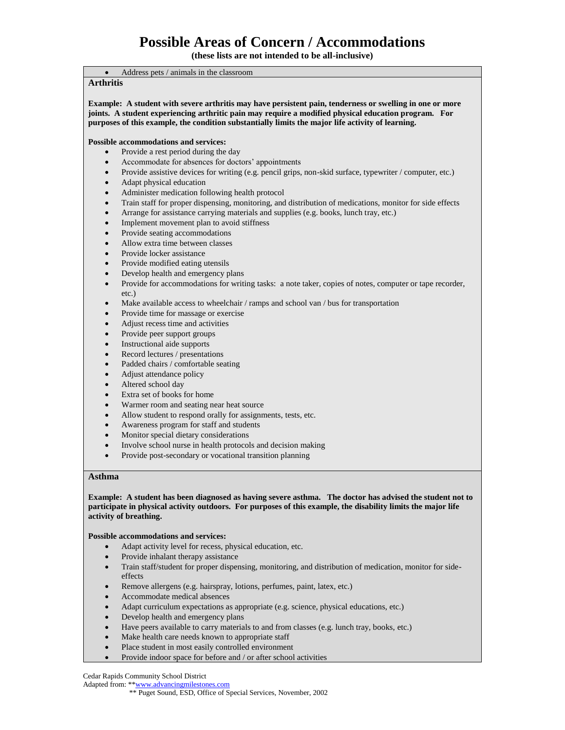**(these lists are not intended to be all-inclusive)**

• Address pets / animals in the classroom **Arthritis Example: A student with severe arthritis may have persistent pain, tenderness or swelling in one or more joints. A student experiencing arthritic pain may require a modified physical education program. For purposes of this example, the condition substantially limits the major life activity of learning. Possible accommodations and services:** • Provide a rest period during the day • Accommodate for absences for doctors' appointments • Provide assistive devices for writing (e.g. pencil grips, non-skid surface, typewriter / computer, etc.) • Adapt physical education • Administer medication following health protocol • Train staff for proper dispensing, monitoring, and distribution of medications, monitor for side effects • Arrange for assistance carrying materials and supplies (e.g. books, lunch tray, etc.) Implement movement plan to avoid stiffness Provide seating accommodations • Allow extra time between classes • Provide locker assistance • Provide modified eating utensils • Develop health and emergency plans • Provide for accommodations for writing tasks: a note taker, copies of notes, computer or tape recorder, etc.) • Make available access to wheelchair / ramps and school van / bus for transportation • Provide time for massage or exercise • Adjust recess time and activities Provide peer support groups Instructional aide supports Record lectures / presentations Padded chairs / comfortable seating • Adjust attendance policy Altered school day Extra set of books for home • Warmer room and seating near heat source Allow student to respond orally for assignments, tests, etc. • Awareness program for staff and students • Monitor special dietary considerations • Involve school nurse in health protocols and decision making

## • Provide post-secondary or vocational transition planning

### **Asthma**

**Example: A student has been diagnosed as having severe asthma. The doctor has advised the student not to participate in physical activity outdoors. For purposes of this example, the disability limits the major life activity of breathing.**

#### **Possible accommodations and services:**

- Adapt activity level for recess, physical education, etc.
- Provide inhalant therapy assistance
- Train staff/student for proper dispensing, monitoring, and distribution of medication, monitor for sideeffects
- Remove allergens (e.g. hairspray, lotions, perfumes, paint, latex, etc.)
- Accommodate medical absences
- Adapt curriculum expectations as appropriate (e.g. science, physical educations, etc.)
- Develop health and emergency plans
- Have peers available to carry materials to and from classes (e.g. lunch tray, books, etc.)
- Make health care needs known to appropriate staff
- Place student in most easily controlled environment
- Provide indoor space for before and / or after school activities

Cedar Rapids Community School District

### Adapted from: \*[\\*www.advancingmilestones.com](http://www.advancingmilestones.com/)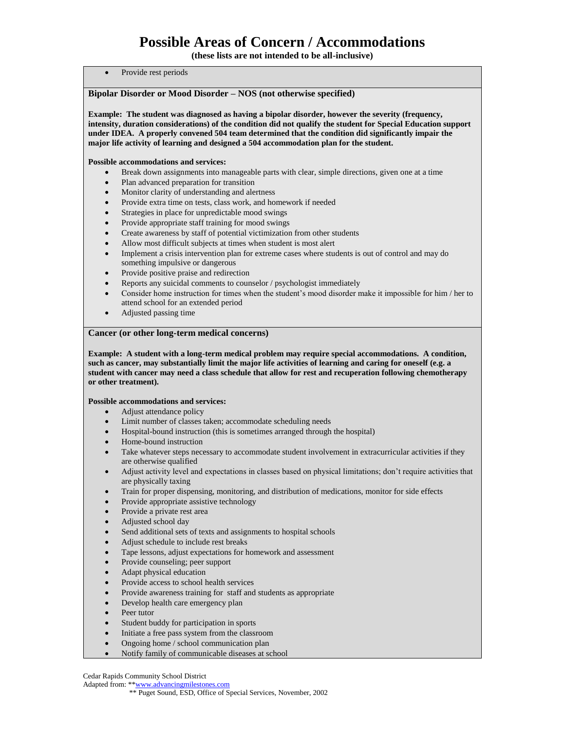**(these lists are not intended to be all-inclusive)**

#### Provide rest periods

### **Bipolar Disorder or Mood Disorder – NOS (not otherwise specified)**

**Example: The student was diagnosed as having a bipolar disorder, however the severity (frequency, intensity, duration considerations) of the condition did not qualify the student for Special Education support under IDEA. A properly convened 504 team determined that the condition did significantly impair the major life activity of learning and designed a 504 accommodation plan for the student.**

#### **Possible accommodations and services:**

- Break down assignments into manageable parts with clear, simple directions, given one at a time
- Plan advanced preparation for transition
- Monitor clarity of understanding and alertness
- Provide extra time on tests, class work, and homework if needed
- Strategies in place for unpredictable mood swings
- Provide appropriate staff training for mood swings
- Create awareness by staff of potential victimization from other students
- Allow most difficult subjects at times when student is most alert
- Implement a crisis intervention plan for extreme cases where students is out of control and may do something impulsive or dangerous
- Provide positive praise and redirection
- Reports any suicidal comments to counselor / psychologist immediately
- Consider home instruction for times when the student's mood disorder make it impossible for him / her to attend school for an extended period
- Adjusted passing time

#### **Cancer (or other long-term medical concerns)**

**Example: A student with a long-term medical problem may require special accommodations. A condition, such as cancer, may substantially limit the major life activities of learning and caring for oneself (e.g. a student with cancer may need a class schedule that allow for rest and recuperation following chemotherapy or other treatment).**

#### **Possible accommodations and services:**

- Adjust attendance policy
- Limit number of classes taken; accommodate scheduling needs
- Hospital-bound instruction (this is sometimes arranged through the hospital)
- Home-bound instruction
- Take whatever steps necessary to accommodate student involvement in extracurricular activities if they are otherwise qualified
- Adjust activity level and expectations in classes based on physical limitations; don't require activities that are physically taxing
- Train for proper dispensing, monitoring, and distribution of medications, monitor for side effects
- Provide appropriate assistive technology
- Provide a private rest area
- Adjusted school day
- Send additional sets of texts and assignments to hospital schools
- Adjust schedule to include rest breaks
- Tape lessons, adjust expectations for homework and assessment
- Provide counseling; peer support
- Adapt physical education
- Provide access to school health services
- Provide awareness training for staff and students as appropriate
- Develop health care emergency plan
- Peer tutor
- Student buddy for participation in sports
- Initiate a free pass system from the classroom
- Ongoing home / school communication plan
- Notify family of communicable diseases at school

Cedar Rapids Community School District

 <sup>\*\*</sup> Puget Sound, ESD, Office of Special Services, November, 2002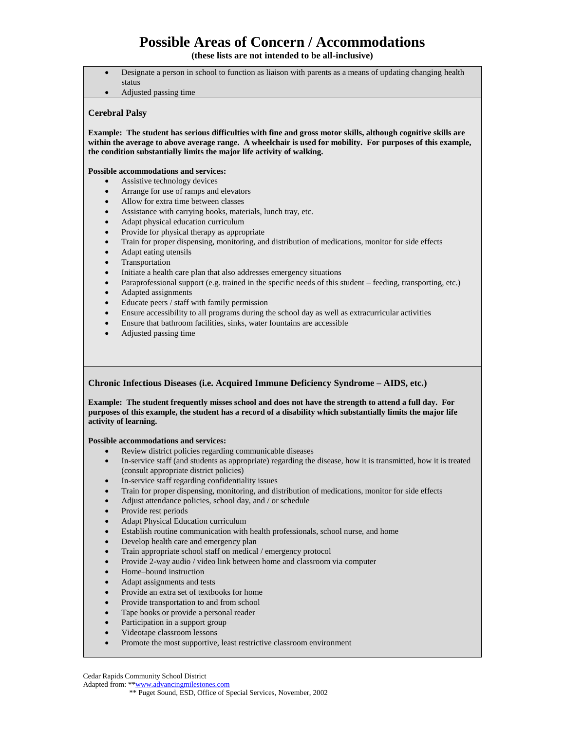**(these lists are not intended to be all-inclusive)**

- Designate a person in school to function as liaison with parents as a means of updating changing health status
- Adjusted passing time

#### **Cerebral Palsy**

**Example: The student has serious difficulties with fine and gross motor skills, although cognitive skills are within the average to above average range. A wheelchair is used for mobility. For purposes of this example, the condition substantially limits the major life activity of walking.**

#### **Possible accommodations and services:**

- Assistive technology devices
- Arrange for use of ramps and elevators
- Allow for extra time between classes
- Assistance with carrying books, materials, lunch tray, etc.
- Adapt physical education curriculum
- Provide for physical therapy as appropriate
- Train for proper dispensing, monitoring, and distribution of medications, monitor for side effects
- Adapt eating utensils
- **Transportation**
- Initiate a health care plan that also addresses emergency situations
- Paraprofessional support (e.g. trained in the specific needs of this student feeding, transporting, etc.)
- Adapted assignments
- Educate peers / staff with family permission
- Ensure accessibility to all programs during the school day as well as extracurricular activities
- Ensure that bathroom facilities, sinks, water fountains are accessible
- Adjusted passing time

### **Chronic Infectious Diseases (i.e. Acquired Immune Deficiency Syndrome – AIDS, etc.)**

**Example: The student frequently misses school and does not have the strength to attend a full day. For purposes of this example, the student has a record of a disability which substantially limits the major life activity of learning.**

#### **Possible accommodations and services:**

- Review district policies regarding communicable diseases
- In-service staff (and students as appropriate) regarding the disease, how it is transmitted, how it is treated (consult appropriate district policies)
- In-service staff regarding confidentiality issues
- Train for proper dispensing, monitoring, and distribution of medications, monitor for side effects
- Adjust attendance policies, school day, and / or schedule
- Provide rest periods
- Adapt Physical Education curriculum
- Establish routine communication with health professionals, school nurse, and home
- Develop health care and emergency plan
- Train appropriate school staff on medical / emergency protocol
- Provide 2-way audio / video link between home and classroom via computer
- Home–bound instruction
- Adapt assignments and tests
- Provide an extra set of textbooks for home
- Provide transportation to and from school
- Tape books or provide a personal reader
- Participation in a support group
- Videotape classroom lessons
- Promote the most supportive, least restrictive classroom environment

Cedar Rapids Community School District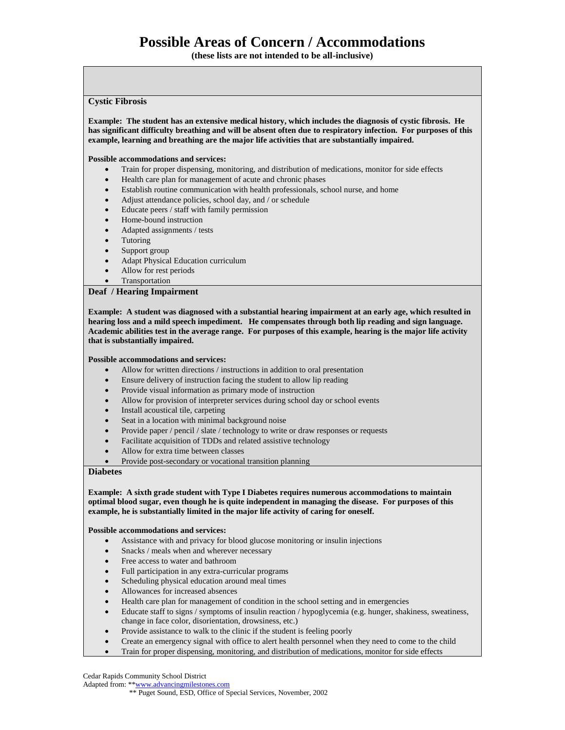**(these lists are not intended to be all-inclusive)**

#### **Cystic Fibrosis**

**Example: The student has an extensive medical history, which includes the diagnosis of cystic fibrosis. He has significant difficulty breathing and will be absent often due to respiratory infection. For purposes of this example, learning and breathing are the major life activities that are substantially impaired.**

#### **Possible accommodations and services:**

- Train for proper dispensing, monitoring, and distribution of medications, monitor for side effects
- Health care plan for management of acute and chronic phases
- Establish routine communication with health professionals, school nurse, and home
- Adjust attendance policies, school day, and / or schedule
- Educate peers / staff with family permission
- Home-bound instruction
- Adapted assignments / tests
- **Tutoring**
- Support group
- Adapt Physical Education curriculum
- Allow for rest periods
- **Transportation**

#### **Deaf / Hearing Impairment**

**Example: A student was diagnosed with a substantial hearing impairment at an early age, which resulted in hearing loss and a mild speech impediment. He compensates through both lip reading and sign language. Academic abilities test in the average range. For purposes of this example, hearing is the major life activity that is substantially impaired.**

#### **Possible accommodations and services:**

- Allow for written directions / instructions in addition to oral presentation
- Ensure delivery of instruction facing the student to allow lip reading
- Provide visual information as primary mode of instruction
- Allow for provision of interpreter services during school day or school events
- Install acoustical tile, carpeting
- Seat in a location with minimal background noise
- Provide paper / pencil / slate / technology to write or draw responses or requests
- Facilitate acquisition of TDDs and related assistive technology
- Allow for extra time between classes
- Provide post-secondary or vocational transition planning

### **Diabetes**

**Example: A sixth grade student with Type I Diabetes requires numerous accommodations to maintain optimal blood sugar, even though he is quite independent in managing the disease. For purposes of this example, he is substantially limited in the major life activity of caring for oneself.**

#### **Possible accommodations and services:**

- Assistance with and privacy for blood glucose monitoring or insulin injections
- Snacks / meals when and wherever necessary
- Free access to water and bathroom
- Full participation in any extra-curricular programs
- Scheduling physical education around meal times
- Allowances for increased absences
- Health care plan for management of condition in the school setting and in emergencies
- Educate staff to signs / symptoms of insulin reaction / hypoglycemia (e.g. hunger, shakiness, sweatiness, change in face color, disorientation, drowsiness, etc.)
- Provide assistance to walk to the clinic if the student is feeling poorly
- Create an emergency signal with office to alert health personnel when they need to come to the child
- Train for proper dispensing, monitoring, and distribution of medications, monitor for side effects

Cedar Rapids Community School District

 <sup>\*\*</sup> Puget Sound, ESD, Office of Special Services, November, 2002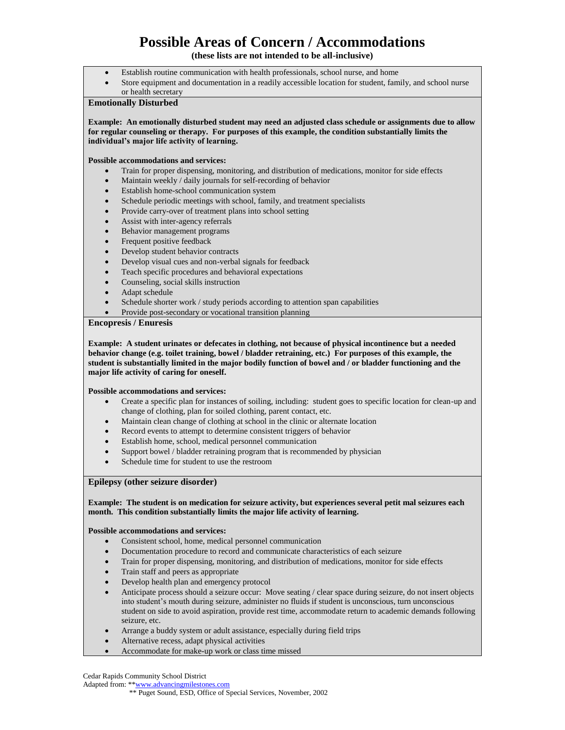**(these lists are not intended to be all-inclusive)**

- Establish routine communication with health professionals, school nurse, and home
- Store equipment and documentation in a readily accessible location for student, family, and school nurse

#### or health secretary **Emotionally Disturbed**

**Example: An emotionally disturbed student may need an adjusted class schedule or assignments due to allow for regular counseling or therapy. For purposes of this example, the condition substantially limits the individual's major life activity of learning.**

#### **Possible accommodations and services:**

- Train for proper dispensing, monitoring, and distribution of medications, monitor for side effects
- Maintain weekly / daily journals for self-recording of behavior
- Establish home-school communication system
- Schedule periodic meetings with school, family, and treatment specialists
- Provide carry-over of treatment plans into school setting
- Assist with inter-agency referrals
- Behavior management programs
- Frequent positive feedback
- Develop student behavior contracts
- Develop visual cues and non-verbal signals for feedback
- Teach specific procedures and behavioral expectations
- Counseling, social skills instruction
- Adapt schedule
- Schedule shorter work / study periods according to attention span capabilities
- Provide post-secondary or vocational transition planning

### **Encopresis / Enuresis**

**Example: A student urinates or defecates in clothing, not because of physical incontinence but a needed behavior change (e.g. toilet training, bowel / bladder retraining, etc.) For purposes of this example, the student is substantially limited in the major bodily function of bowel and / or bladder functioning and the major life activity of caring for oneself.**

#### **Possible accommodations and services:**

- Create a specific plan for instances of soiling, including: student goes to specific location for clean-up and change of clothing, plan for soiled clothing, parent contact, etc.
- Maintain clean change of clothing at school in the clinic or alternate location
- Record events to attempt to determine consistent triggers of behavior
- Establish home, school, medical personnel communication
- Support bowel / bladder retraining program that is recommended by physician
- Schedule time for student to use the restroom

### **Epilepsy (other seizure disorder)**

#### **Example: The student is on medication for seizure activity, but experiences several petit mal seizures each month. This condition substantially limits the major life activity of learning.**

### **Possible accommodations and services:**

- Consistent school, home, medical personnel communication
- Documentation procedure to record and communicate characteristics of each seizure
- Train for proper dispensing, monitoring, and distribution of medications, monitor for side effects
- Train staff and peers as appropriate
- Develop health plan and emergency protocol
- Anticipate process should a seizure occur: Move seating / clear space during seizure, do not insert objects into student's mouth during seizure, administer no fluids if student is unconscious, turn unconscious student on side to avoid aspiration, provide rest time, accommodate return to academic demands following seizure, etc.
- Arrange a buddy system or adult assistance, especially during field trips
- Alternative recess, adapt physical activities
- Accommodate for make-up work or class time missed

Cedar Rapids Community School District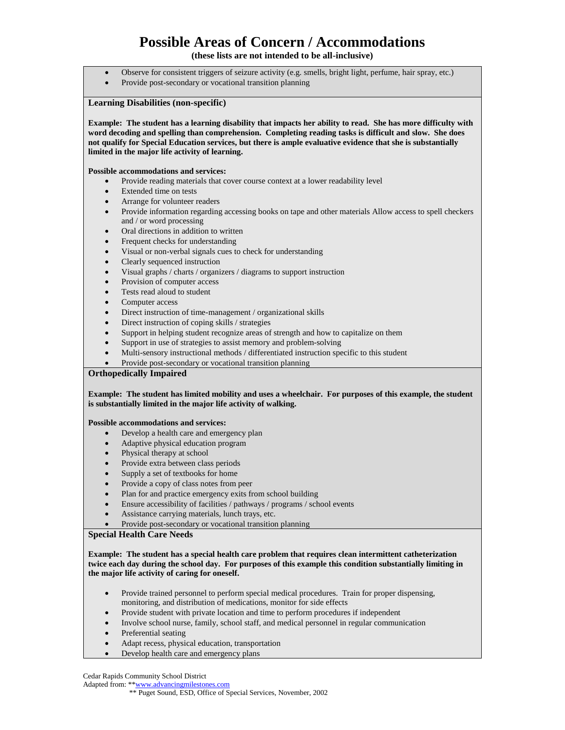**(these lists are not intended to be all-inclusive)**

- Observe for consistent triggers of seizure activity (e.g. smells, bright light, perfume, hair spray, etc.)
- Provide post-secondary or vocational transition planning

### **Learning Disabilities (non-specific)**

**Example: The student has a learning disability that impacts her ability to read. She has more difficulty with word decoding and spelling than comprehension. Completing reading tasks is difficult and slow. She does not qualify for Special Education services, but there is ample evaluative evidence that she is substantially limited in the major life activity of learning.**

#### **Possible accommodations and services:**

- Provide reading materials that cover course context at a lower readability level
- Extended time on tests
- Arrange for volunteer readers
- Provide information regarding accessing books on tape and other materials Allow access to spell checkers and / or word processing
- Oral directions in addition to written
- Frequent checks for understanding
- Visual or non-verbal signals cues to check for understanding
- Clearly sequenced instruction
- Visual graphs / charts / organizers / diagrams to support instruction
- Provision of computer access
- Tests read aloud to student
- Computer access
- Direct instruction of time-management / organizational skills
- Direct instruction of coping skills / strategies
- Support in helping student recognize areas of strength and how to capitalize on them
- Support in use of strategies to assist memory and problem-solving
- Multi-sensory instructional methods / differentiated instruction specific to this student
- Provide post-secondary or vocational transition planning

## **Orthopedically Impaired**

#### **Example: The student has limited mobility and uses a wheelchair. For purposes of this example, the student is substantially limited in the major life activity of walking.**

#### **Possible accommodations and services:**

- Develop a health care and emergency plan
- Adaptive physical education program
- Physical therapy at school
- Provide extra between class periods
- Supply a set of textbooks for home
- Provide a copy of class notes from peer
- Plan for and practice emergency exits from school building
- Ensure accessibility of facilities / pathways / programs / school events
- Assistance carrying materials, lunch trays, etc.
	- Provide post-secondary or vocational transition planning

### **Special Health Care Needs**

#### **Example: The student has a special health care problem that requires clean intermittent catheterization twice each day during the school day. For purposes of this example this condition substantially limiting in the major life activity of caring for oneself.**

- Provide trained personnel to perform special medical procedures. Train for proper dispensing, monitoring, and distribution of medications, monitor for side effects
- Provide student with private location and time to perform procedures if independent
- Involve school nurse, family, school staff, and medical personnel in regular communication
- Preferential seating
- Adapt recess, physical education, transportation
- Develop health care and emergency plans

Cedar Rapids Community School District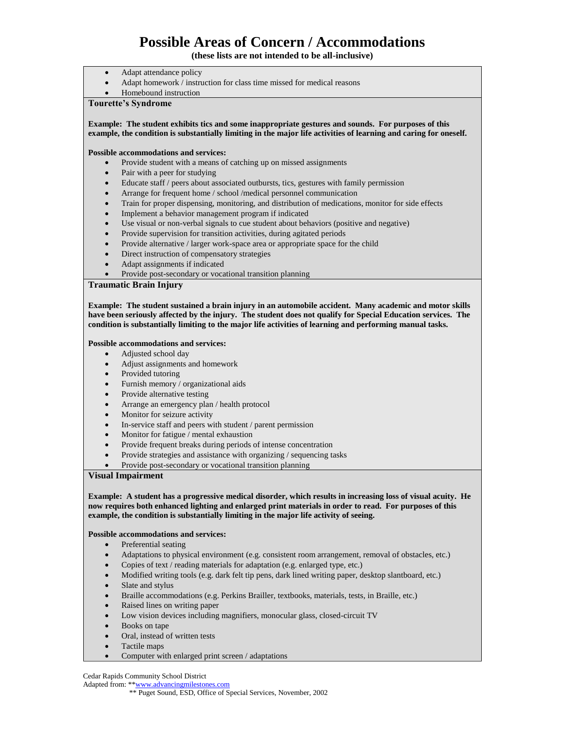**(these lists are not intended to be all-inclusive)**

- Adapt attendance policy
- Adapt homework / instruction for class time missed for medical reasons
- Homebound instruction

## **Tourette's Syndrome**

**Example: The student exhibits tics and some inappropriate gestures and sounds. For purposes of this example, the condition is substantially limiting in the major life activities of learning and caring for oneself.**

#### **Possible accommodations and services:**

- Provide student with a means of catching up on missed assignments
- Pair with a peer for studying
- Educate staff / peers about associated outbursts, tics, gestures with family permission
- Arrange for frequent home / school /medical personnel communication
- Train for proper dispensing, monitoring, and distribution of medications, monitor for side effects
- Implement a behavior management program if indicated
- Use visual or non-verbal signals to cue student about behaviors (positive and negative)
- Provide supervision for transition activities, during agitated periods
- Provide alternative / larger work-space area or appropriate space for the child
- Direct instruction of compensatory strategies
- Adapt assignments if indicated
- Provide post-secondary or vocational transition planning

## **Traumatic Brain Injury**

**Example: The student sustained a brain injury in an automobile accident. Many academic and motor skills have been seriously affected by the injury. The student does not qualify for Special Education services. The condition is substantially limiting to the major life activities of learning and performing manual tasks.**

#### **Possible accommodations and services:**

- Adjusted school day
- Adjust assignments and homework
- Provided tutoring
- Furnish memory / organizational aids
- Provide alternative testing
- Arrange an emergency plan / health protocol
- Monitor for seizure activity
- In-service staff and peers with student / parent permission
- Monitor for fatigue / mental exhaustion
- Provide frequent breaks during periods of intense concentration
- Provide strategies and assistance with organizing / sequencing tasks
- Provide post-secondary or vocational transition planning

#### **Visual Impairment**

**Example: A student has a progressive medical disorder, which results in increasing loss of visual acuity. He now requires both enhanced lighting and enlarged print materials in order to read. For purposes of this example, the condition is substantially limiting in the major life activity of seeing.**

#### **Possible accommodations and services:**

- Preferential seating
- Adaptations to physical environment (e.g. consistent room arrangement, removal of obstacles, etc.)
- Copies of text / reading materials for adaptation (e.g. enlarged type, etc.)
- Modified writing tools (e.g. dark felt tip pens, dark lined writing paper, desktop slantboard, etc.)
- Slate and stylus
- Braille accommodations (e.g. Perkins Brailler, textbooks, materials, tests, in Braille, etc.)
- Raised lines on writing paper
- Low vision devices including magnifiers, monocular glass, closed-circuit TV
- Books on tape
- Oral, instead of written tests
- Tactile maps
- Computer with enlarged print screen / adaptations

Cedar Rapids Community School District